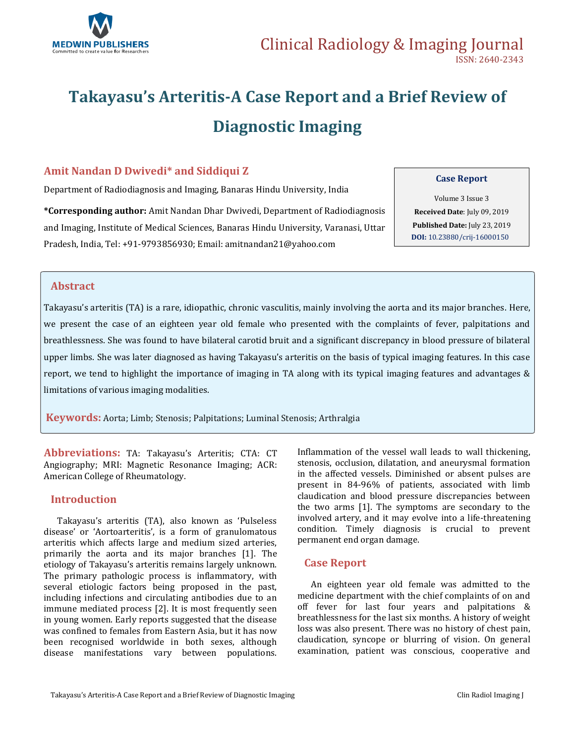

# **Takayasu's Arteritis-A Case Report and a Brief Review of Diagnostic Imaging**

### **Amit Nandan D Dwivedi\* and Siddiqui Z**

Department of Radiodiagnosis and Imaging, Banaras Hindu University, India

**\*Corresponding author:** Amit Nandan Dhar Dwivedi, Department of Radiodiagnosis and Imaging, Institute of Medical Sciences, Banaras Hindu University, Varanasi, Uttar Pradesh, India, Tel: +91-9793856930; Email: [amitnandan21@yahoo.com](mailto:amitnandan21@yahoo.com)

#### **Case Report**

Volume 3 Issue 3 **Received Date**: July 09, 2019 **Published Date:** July 23, 2019 **DOI:** [10.23880/crij-1600015](https://doi.org/10.23880/crij-16000150)0

### **Abstract**

Takayasu's arteritis (TA) is a rare, idiopathic, chronic vasculitis, mainly involving the aorta and its major branches. Here, we present the case of an eighteen year old female who presented with the complaints of fever, palpitations and breathlessness. She was found to have bilateral carotid bruit and a significant discrepancy in blood pressure of bilateral upper limbs. She was later diagnosed as having Takayasu's arteritis on the basis of typical imaging features. In this case report, we tend to highlight the importance of imaging in TA along with its typical imaging features and advantages & limitations of various imaging modalities.

**Keywords:** Aorta; Limb; Stenosis; Palpitations; Luminal Stenosis; Arthralgia

**Abbreviations:** TA: Takayasu's Arteritis; CTA: CT Angiography; MRI: Magnetic Resonance Imaging; ACR: American College of Rheumatology.

### **Introduction**

Takayasu's arteritis (TA), also known as 'Pulseless disease' or 'Aortoarteritis', is a form of granulomatous arteritis which affects large and medium sized arteries, primarily the aorta and its major branches [1]. The etiology of Takayasu's arteritis remains largely unknown. The primary pathologic process is inflammatory, with several etiologic factors being proposed in the past, including infections and circulating antibodies due to an immune mediated process [2]. It is most frequently seen in young women. Early reports suggested that the disease was confined to females from Eastern Asia, but it has now been recognised worldwide in both sexes, although disease manifestations vary between populations. Inflammation of the vessel wall leads to wall thickening, stenosis, occlusion, dilatation, and aneurysmal formation in the affected vessels. Diminished or absent pulses are present in 84-96% of patients, associated with limb claudication and blood pressure discrepancies between the two arms [1]. The symptoms are secondary to the involved artery, and it may evolve into a life-threatening condition. Timely diagnosis is crucial to prevent permanent end organ damage.

### **Case Report**

An eighteen year old female was admitted to the medicine department with the chief complaints of on and off fever for last four years and palpitations & breathlessness for the last six months. A history of weight loss was also present. There was no history of chest pain, claudication, syncope or blurring of vision. On general examination, patient was conscious, cooperative and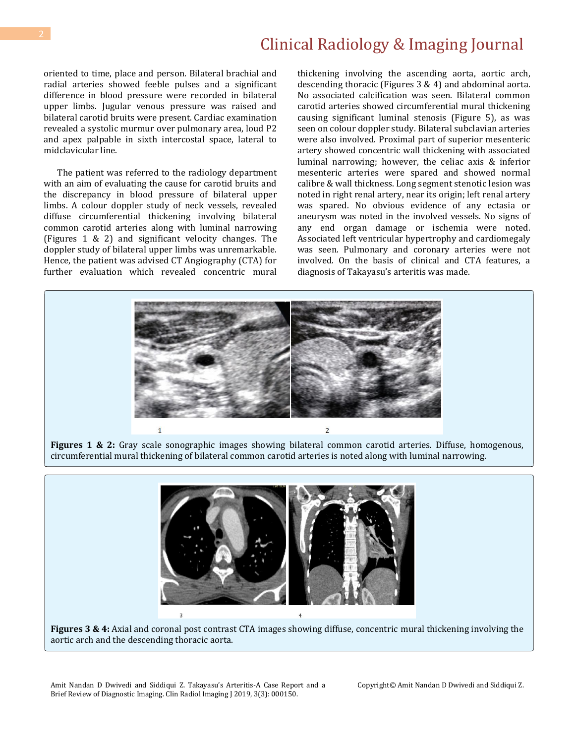## Clinical Radiology & Imaging Journal

oriented to time, place and person. Bilateral brachial and radial arteries showed feeble pulses and a significant difference in blood pressure were recorded in bilateral upper limbs. Jugular venous pressure was raised and bilateral carotid bruits were present. Cardiac examination revealed a systolic murmur over pulmonary area, loud P2 and apex palpable in sixth intercostal space, lateral to midclavicular line.

The patient was referred to the radiology department with an aim of evaluating the cause for carotid bruits and the discrepancy in blood pressure of bilateral upper limbs. A colour doppler study of neck vessels, revealed diffuse circumferential thickening involving bilateral common carotid arteries along with luminal narrowing (Figures 1 & 2) and significant velocity changes. The doppler study of bilateral upper limbs was unremarkable. Hence, the patient was advised CT Angiography (CTA) for further evaluation which revealed concentric mural thickening involving the ascending aorta, aortic arch, descending thoracic (Figures 3 & 4) and abdominal aorta. No associated calcification was seen. Bilateral common carotid arteries showed circumferential mural thickening causing significant luminal stenosis (Figure 5), as was seen on colour doppler study. Bilateral subclavian arteries were also involved. Proximal part of superior mesenteric artery showed concentric wall thickening with associated luminal narrowing; however, the celiac axis & inferior mesenteric arteries were spared and showed normal calibre & wall thickness. Long segment stenotic lesion was noted in right renal artery, near its origin; left renal artery was spared. No obvious evidence of any ectasia or aneurysm was noted in the involved vessels. No signs of any end organ damage or ischemia were noted. Associated left ventricular hypertrophy and cardiomegaly was seen. Pulmonary and coronary arteries were not involved. On the basis of clinical and CTA features, a diagnosis of Takayasu's arteritis was made.



**Figures 1 & 2:** Gray scale sonographic images showing bilateral common carotid arteries. Diffuse, homogenous, circumferential mural thickening of bilateral common carotid arteries is noted along with luminal narrowing.



**Figures 3 & 4:** Axial and coronal post contrast CTA images showing diffuse, concentric mural thickening involving the aortic arch and the descending thoracic aorta.

Copyright© Amit Nandan D Dwivedi and Siddiqui Z.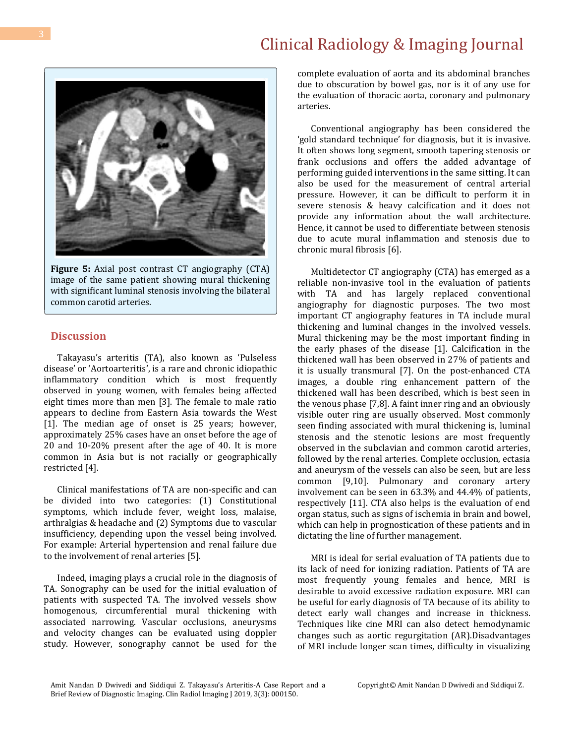## Clinical Radiology & Imaging Journal

complete evaluation of aorta and its abdominal branches due to obscuration by bowel gas, nor is it of any use for the evaluation of thoracic aorta, coronary and pulmonary arteries.

Conventional angiography has been considered the 'gold standard technique' for diagnosis, but it is invasive. It often shows long segment, smooth tapering stenosis or frank occlusions and offers the added advantage of performing guided interventions in the same sitting. It can also be used for the measurement of central arterial pressure. However, it can be difficult to perform it in severe stenosis & heavy calcification and it does not provide any information about the wall architecture. Hence, it cannot be used to differentiate between stenosis due to acute mural inflammation and stenosis due to chronic mural fibrosis [6].

Multidetector CT angiography (CTA) has emerged as a reliable non-invasive tool in the evaluation of patients with TA and has largely replaced conventional angiography for diagnostic purposes. The two most important CT angiography features in TA include mural thickening and luminal changes in the involved vessels. Mural thickening may be the most important finding in the early phases of the disease [1]. Calcification in the thickened wall has been observed in 27% of patients and it is usually transmural [7]. On the post-enhanced CTA images, a double ring enhancement pattern of the thickened wall has been described, which is best seen in the venous phase [7,8]. A faint inner ring and an obviously visible outer ring are usually observed. Most commonly seen finding associated with mural thickening is, luminal stenosis and the stenotic lesions are most frequently observed in the subclavian and common carotid arteries, followed by the renal arteries. Complete occlusion, ectasia and aneurysm of the vessels can also be seen, but are less common [9,10]. Pulmonary and coronary artery involvement can be seen in 63.3% and 44.4% of patients, respectively [11]. CTA also helps is the evaluation of end organ status, such as signs of ischemia in brain and bowel, which can help in prognostication of these patients and in dictating the line of further management.

MRI is ideal for serial evaluation of TA patients due to its lack of need for ionizing radiation. Patients of TA are most frequently young females and hence, MRI is desirable to avoid excessive radiation exposure. MRI can be useful for early diagnosis of TA because of its ability to detect early wall changes and increase in thickness. Techniques like cine MRI can also detect hemodynamic changes such as aortic regurgitation (AR).Disadvantages of MRI include longer scan times, difficulty in visualizing



image of the same patient showing mural thickening with significant luminal stenosis involving the bilateral common carotid arteries.

### **Discussion**

Takayasu's arteritis (TA), also known as 'Pulseless disease' or 'Aortoarteritis', is a rare and chronic idiopathic inflammatory condition which is most frequently observed in young women, with females being affected eight times more than men [3]. The female to male ratio appears to decline from Eastern Asia towards the West [1]. The median age of onset is 25 years; however, approximately 25% cases have an onset before the age of 20 and 10-20% present after the age of 40. It is more common in Asia but is not racially or geographically restricted [4].

Clinical manifestations of TA are non-specific and can be divided into two categories: (1) Constitutional symptoms, which include fever, weight loss, malaise, arthralgias & headache and (2) Symptoms due to vascular insufficiency, depending upon the vessel being involved. For example: Arterial hypertension and renal failure due to the involvement of renal arteries [5].

Indeed, imaging plays a crucial role in the diagnosis of TA. Sonography can be used for the initial evaluation of patients with suspected TA. The involved vessels show homogenous, circumferential mural thickening with associated narrowing. Vascular occlusions, aneurysms and velocity changes can be evaluated using doppler study. However, sonography cannot be used for the